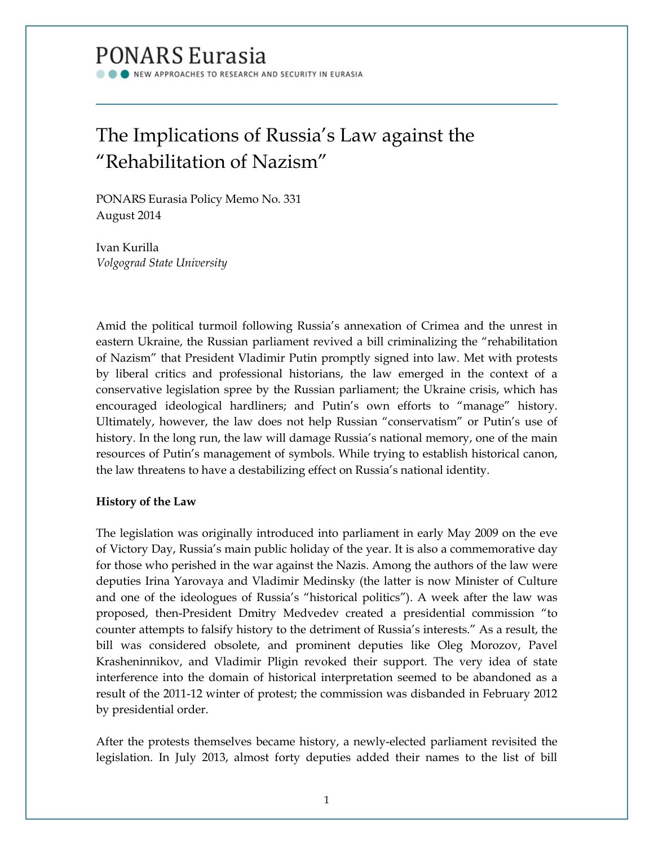# **PONARS Eurasia**

NEW APPROACHES TO RESEARCH AND SECURITY IN EURASIA

## The Implications of Russia's Law against the "Rehabilitation of Nazism"

PONARS Eurasia Policy Memo No. 331 August 2014

Ivan Kurilla *Volgograd State University*

Amid the political turmoil following Russia's annexation of Crimea and the unrest in eastern Ukraine, the Russian parliament revived a bill criminalizing the "rehabilitation of Nazism" that President Vladimir Putin promptly signed into law. Met with protests by liberal critics and professional historians, the law emerged in the context of a conservative legislation spree by the Russian parliament; the Ukraine crisis, which has encouraged ideological hardliners; and Putin's own efforts to "manage" history. Ultimately, however, the law does not help Russian "conservatism" or Putin's use of history. In the long run, the law will damage Russia's national memory, one of the main resources of Putin's management of symbols. While trying to establish historical canon, the law threatens to have a destabilizing effect on Russia's national identity.

### **History of the Law**

The legislation was originally introduced into parliament in early May 2009 on the eve of Victory Day, Russia's main public holiday of the year. It is also a commemorative day for those who perished in the war against the Nazis. Among the authors of the law were deputies Irina Yarovaya and Vladimir Medinsky (the latter is now Minister of Culture and one of the ideologues of Russia's "historical politics"). A week after the law was proposed, then-President Dmitry Medvedev created a presidential commission "to counter attempts to falsify history to the detriment of Russia's interests." As a result, the bill was considered obsolete, and prominent deputies like Oleg Morozov, Pavel Krasheninnikov, and Vladimir Pligin revoked their support. The very idea of state interference into the domain of historical interpretation seemed to be abandoned as a result of the 2011-12 winter of protest; the commission was disbanded in February 2012 by presidential order.

After the protests themselves became history, a newly-elected parliament revisited the legislation. In July 2013, almost forty deputies added their names to the list of bill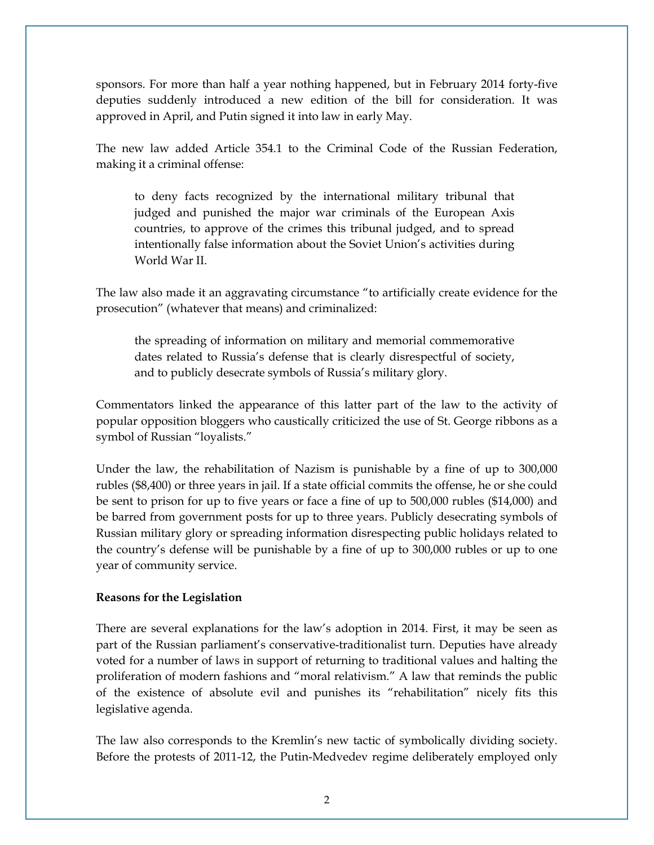sponsors. For more than half a year nothing happened, but in February 2014 forty-five deputies suddenly introduced a new edition of the bill for consideration. It was approved in April, and Putin signed it into law in early May.

The new law added Article 354.1 to the Criminal Code of the Russian Federation, making it a criminal offense:

to deny facts recognized by the international military tribunal that judged and punished the major war criminals of the European Axis countries, to approve of the crimes this tribunal judged, and to spread intentionally false information about the Soviet Union's activities during World War II.

The law also made it an aggravating circumstance "to artificially create evidence for the prosecution" (whatever that means) and criminalized:

the spreading of information on military and memorial commemorative dates related to Russia's defense that is clearly disrespectful of society, and to publicly desecrate symbols of Russia's military glory.

Commentators linked the appearance of this latter part of the law to the activity of popular opposition bloggers who caustically criticized the use of St. George ribbons as a symbol of Russian "loyalists."

Under the law, the rehabilitation of Nazism is punishable by a fine of up to 300,000 rubles (\$8,400) or three years in jail. If a state official commits the offense, he or she could be sent to prison for up to five years or face a fine of up to 500,000 rubles (\$14,000) and be barred from government posts for up to three years. Publicly desecrating symbols of Russian military glory or spreading information disrespecting public holidays related to the country's defense will be punishable by a fine of up to 300,000 rubles or up to one year of community service.

### **Reasons for the Legislation**

There are several explanations for the law's adoption in 2014. First, it may be seen as part of the Russian parliament's conservative-traditionalist turn. Deputies have already voted for a number of laws in support of returning to traditional values and halting the proliferation of modern fashions and "moral relativism." A law that reminds the public of the existence of absolute evil and punishes its "rehabilitation" nicely fits this legislative agenda.

The law also corresponds to the Kremlin's new tactic of symbolically dividing society. Before the protests of 2011-12, the Putin-Medvedev regime deliberately employed only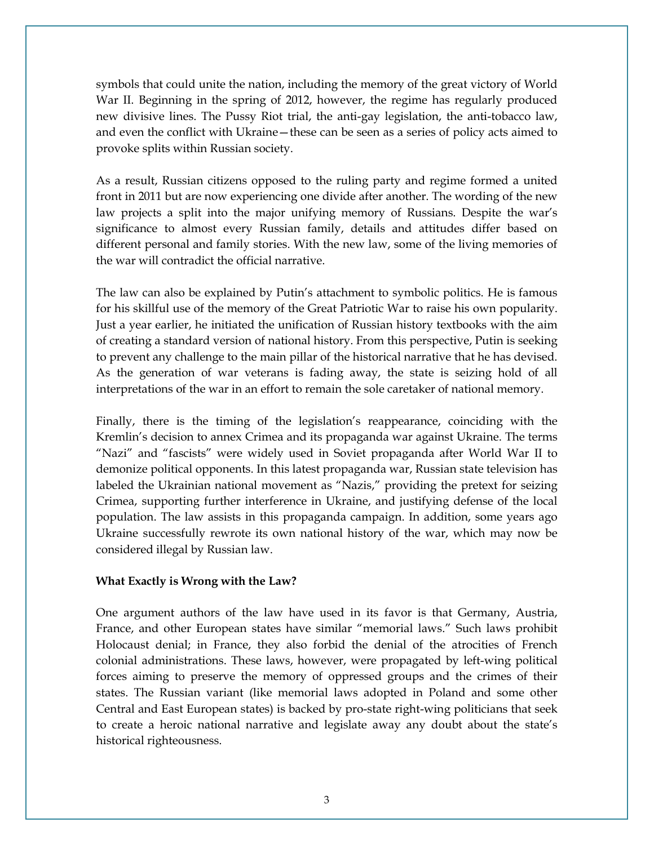symbols that could unite the nation, including the memory of the great victory of World War II. Beginning in the spring of 2012, however, the regime has regularly produced new divisive lines. The Pussy Riot trial, the anti-gay legislation, the anti-tobacco law, and even the conflict with Ukraine—these can be seen as a series of policy acts aimed to provoke splits within Russian society.

As a result, Russian citizens opposed to the ruling party and regime formed a united front in 2011 but are now experiencing one divide after another. The wording of the new law projects a split into the major unifying memory of Russians. Despite the war's significance to almost every Russian family, details and attitudes differ based on different personal and family stories. With the new law, some of the living memories of the war will contradict the official narrative.

The law can also be explained by Putin's attachment to symbolic politics. He is famous for his skillful use of the memory of the Great Patriotic War to raise his own popularity. Just a year earlier, he initiated the unification of Russian history textbooks with the aim of creating a standard version of national history. From this perspective, Putin is seeking to prevent any challenge to the main pillar of the historical narrative that he has devised. As the generation of war veterans is fading away, the state is seizing hold of all interpretations of the war in an effort to remain the sole caretaker of national memory.

Finally, there is the timing of the legislation's reappearance, coinciding with the Kremlin's decision to annex Crimea and its propaganda war against Ukraine. The terms "Nazi" and "fascists" were widely used in Soviet propaganda after World War II to demonize political opponents. In this latest propaganda war, Russian state television has labeled the Ukrainian national movement as "Nazis," providing the pretext for seizing Crimea, supporting further interference in Ukraine, and justifying defense of the local population. The law assists in this propaganda campaign. In addition, some years ago Ukraine successfully rewrote its own national history of the war, which may now be considered illegal by Russian law.

#### **What Exactly is Wrong with the Law?**

One argument authors of the law have used in its favor is that Germany, Austria, France, and other European states have similar "memorial laws." Such laws prohibit Holocaust denial; in France, they also forbid the denial of the atrocities of French colonial administrations. These laws, however, were propagated by left-wing political forces aiming to preserve the memory of oppressed groups and the crimes of their states. The Russian variant (like memorial laws adopted in Poland and some other Central and East European states) is backed by pro-state right-wing politicians that seek to create a heroic national narrative and legislate away any doubt about the state's historical righteousness.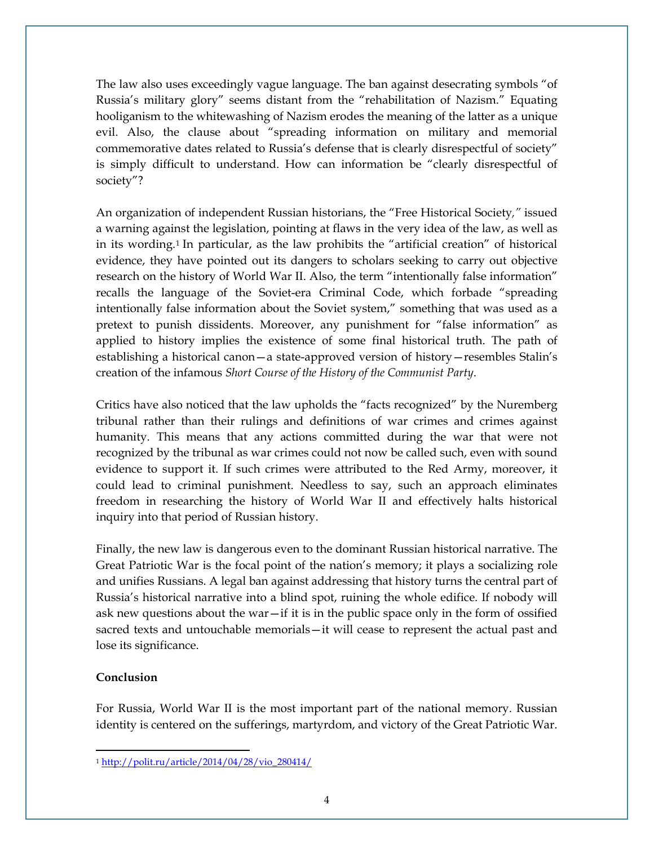The law also uses exceedingly vague language. The ban against desecrating symbols "of Russia's military glory" seems distant from the "rehabilitation of Nazism." Equating hooliganism to the whitewashing of Nazism erodes the meaning of the latter as a unique evil. Also, the clause about "spreading information on military and memorial commemorative dates related to Russia's defense that is clearly disrespectful of society" is simply difficult to understand. How can information be "clearly disrespectful of society"?

An organization of independent Russian historians, the "Free Historical Society*,"* issued a warning against the legislation, pointing at flaws in the very idea of the law, as well as in its wording.[1](#page-3-0) In particular, as the law prohibits the "artificial creation" of historical evidence, they have pointed out its dangers to scholars seeking to carry out objective research on the history of World War II. Also, the term "intentionally false information" recalls the language of the Soviet-era Criminal Code, which forbade "spreading intentionally false information about the Soviet system," something that was used as a pretext to punish dissidents. Moreover, any punishment for "false information" as applied to history implies the existence of some final historical truth. The path of establishing a historical canon—a state-approved version of history—resembles Stalin's creation of the infamous *Short Course of the History of the Communist Party*.

Critics have also noticed that the law upholds the "facts recognized" by the Nuremberg tribunal rather than their rulings and definitions of war crimes and crimes against humanity. This means that any actions committed during the war that were not recognized by the tribunal as war crimes could not now be called such, even with sound evidence to support it. If such crimes were attributed to the Red Army, moreover, it could lead to criminal punishment. Needless to say, such an approach eliminates freedom in researching the history of World War II and effectively halts historical inquiry into that period of Russian history.

Finally, the new law is dangerous even to the dominant Russian historical narrative. The Great Patriotic War is the focal point of the nation's memory; it plays a socializing role and unifies Russians. A legal ban against addressing that history turns the central part of Russia's historical narrative into a blind spot, ruining the whole edifice. If nobody will ask new questions about the war—if it is in the public space only in the form of ossified sacred texts and untouchable memorials—it will cease to represent the actual past and lose its significance.

### **Conclusion**

l

For Russia, World War II is the most important part of the national memory. Russian identity is centered on the sufferings, martyrdom, and victory of the Great Patriotic War.

<span id="page-3-0"></span><sup>1</sup> [http://polit.ru/article/2014/04/28/vio\\_280414/](http://polit.ru/article/2014/04/28/vio_280414/)